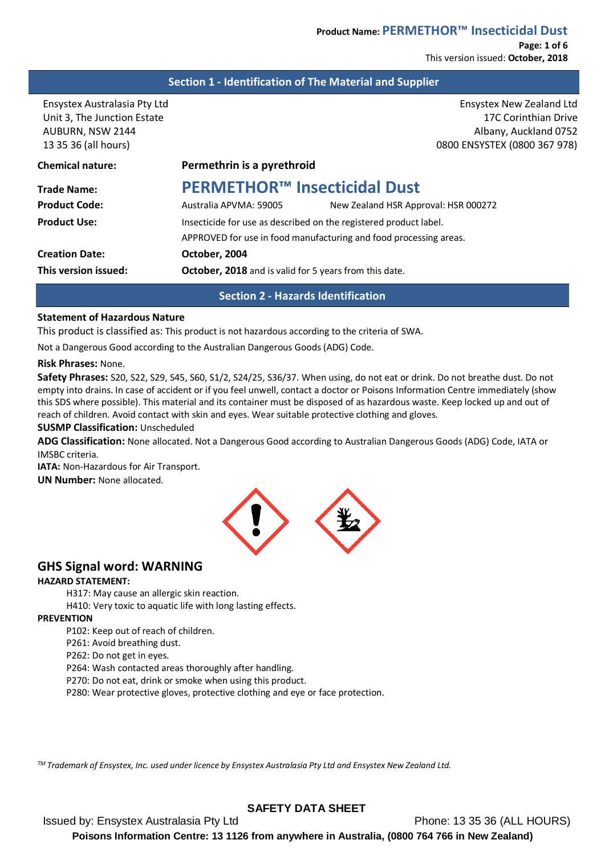This version issued: **October, 2018**

## **Section 1 - Identification of The Material and Supplier**

13 35 36 (all hours) 0800 ENSYSTEX (0800 367 978)

Ensystex Australasia Pty Ltd Ensystex New Zealand Ltd Unit 3, The Junction Estate 17C Corinthian Drive 17C Corinthian Drive AUBURN, NSW 2144 Albany, Auckland 0752

| <b>Chemical nature:</b> | Permethrin is a pyrethroid                                        |                                                                   |
|-------------------------|-------------------------------------------------------------------|-------------------------------------------------------------------|
| <b>Trade Name:</b>      | <b>PERMETHOR™ Insecticidal Dust</b>                               |                                                                   |
| <b>Product Code:</b>    | Australia APVMA: 59005                                            | New Zealand HSR Approval: HSR 000272                              |
| <b>Product Use:</b>     | Insecticide for use as described on the registered product label. |                                                                   |
|                         |                                                                   | APPROVED for use in food manufacturing and food processing areas. |
| <b>Creation Date:</b>   | October, 2004                                                     |                                                                   |
| This version issued:    | October, 2018 and is valid for 5 years from this date.            |                                                                   |
|                         |                                                                   |                                                                   |

## **Section 2 - Hazards Identification**

## **Statement of Hazardous Nature**

This product is classified as: This product is not hazardous according to the criteria of SWA.

Not a Dangerous Good according to the Australian Dangerous Goods (ADG) Code.

## **Risk Phrases:** None.

**Safety Phrases:** S20, S22, S29, S45, S60, S1/2, S24/25, S36/37. When using, do not eat or drink. Do not breathe dust. Do not empty into drains. In case of accident or if you feel unwell, contact a doctor or Poisons Information Centre immediately (show this SDS where possible). This material and its container must be disposed of as hazardous waste. Keep locked up and out of reach of children. Avoid contact with skin and eyes. Wear suitable protective clothing and gloves.

## **SUSMP Classification:** Unscheduled

**ADG Classification:** None allocated. Not a Dangerous Good according to Australian Dangerous Goods (ADG) Code, IATA or IMSBC criteria.

**IATA: Non-Hazardous for Air Transport. UN Number:** None allocated.



# **GHS Signal word: WARNING**

## **HAZARD STATEMENT:**

H317: May cause an allergic skin reaction.

H410: Very toxic to aquatic life with long lasting effects.

#### **PREVENTION**

P102: Keep out of reach of children.

P261: Avoid breathing dust.

P262: Do not get in eyes.

P264: Wash contacted areas thoroughly after handling.

P270: Do not eat, drink or smoke when using this product.

P280: Wear protective gloves, protective clothing and eye or face protection.

*TM Trademark of Ensystex, Inc. used under licence by Ensystex Australasia Pty Ltd and Ensystex New Zealand Ltd.*

# **SAFETY DATA SHEET**

Issued by: Ensystex Australasia Pty Ltd Phone: 13 35 36 (ALL HOURS) **Poisons Information Centre: 13 1126 from anywhere in Australia, (0800 764 766 in New Zealand)**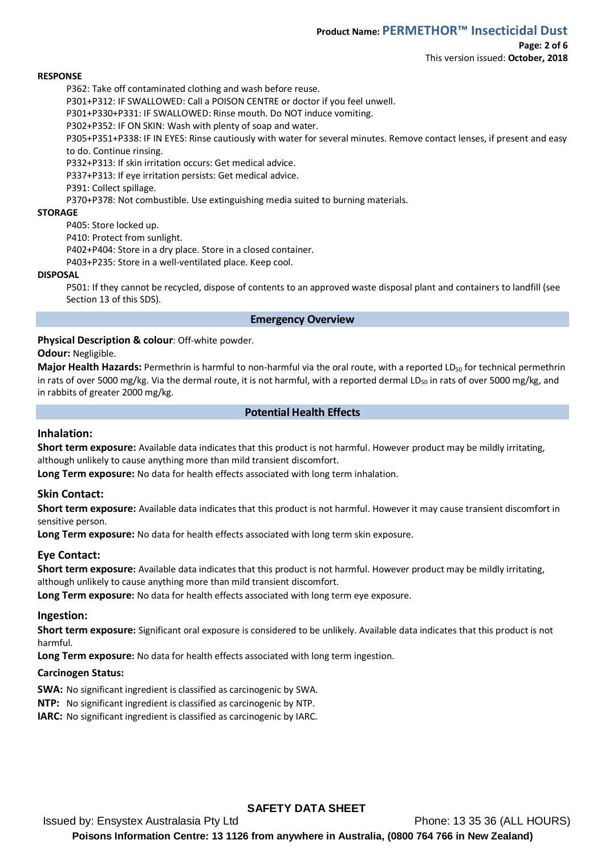#### **RESPONSE**

P362: Take off contaminated clothing and wash before reuse.

P301+P312: IF SWALLOWED: Call a POISON CENTRE or doctor if you feel unwell.

P301+P330+P331: IF SWALLOWED: Rinse mouth. Do NOT induce vomiting.

P302+P352: IF ON SKIN: Wash with plenty of soap and water.

P305+P351+P338: IF IN EYES: Rinse cautiously with water for several minutes. Remove contact lenses, if present and easy to do. Continue rinsing.

P332+P313: If skin irritation occurs: Get medical advice.

P337+P313: If eye irritation persists: Get medical advice.

P391: Collect spillage.

P370+P378: Not combustible. Use extinguishing media suited to burning materials.

#### **STORAGE**

P405: Store locked up.

P410: Protect from sunlight.

P402+P404: Store in a dry place. Store in a closed container.

P403+P235: Store in a well-ventilated place. Keep cool.

## **DISPOSAL**

P501: If they cannot be recycled, dispose of contents to an approved waste disposal plant and containers to landfill (see Section 13 of this SDS).

#### **Emergency Overview**

## **Physical Description & colour**: Off-white powder.

#### **Odour:** Negligible.

**Major Health Hazards:** Permethrin is harmful to non-harmful via the oral route, with a reported LD<sub>50</sub> for technical permethrin in rats of over 5000 mg/kg. Via the dermal route, it is not harmful, with a reported dermal LD<sub>50</sub> in rats of over 5000 mg/kg, and in rabbits of greater 2000 mg/kg.

## **Potential Health Effects**

## **Inhalation:**

**Short term exposure:** Available data indicates that this product is not harmful. However product may be mildly irritating, although unlikely to cause anything more than mild transient discomfort.

**Long Term exposure:** No data for health effects associated with long term inhalation.

## **Skin Contact:**

**Short term exposure:** Available data indicates that this product is not harmful. However it may cause transient discomfort in sensitive person.

**Long Term exposure:** No data for health effects associated with long term skin exposure.

## **Eye Contact:**

**Short term exposure:** Available data indicates that this product is not harmful. However product may be mildly irritating, although unlikely to cause anything more than mild transient discomfort.

**Long Term exposure:** No data for health effects associated with long term eye exposure.

## **Ingestion:**

**Short term exposure:** Significant oral exposure is considered to be unlikely. Available data indicates that this product is not harmful.

**Long Term exposure:** No data for health effects associated with long term ingestion.

## **Carcinogen Status:**

**SWA:** No significant ingredient is classified as carcinogenic by SWA.

**NTP:** No significant ingredient is classified as carcinogenic by NTP.

**IARC:** No significant ingredient is classified as carcinogenic by IARC.

## **SAFETY DATA SHEET**

Issued by: Ensystex Australasia Pty Ltd Phone: 13 35 36 (ALL HOURS) **Poisons Information Centre: 13 1126 from anywhere in Australia, (0800 764 766 in New Zealand)**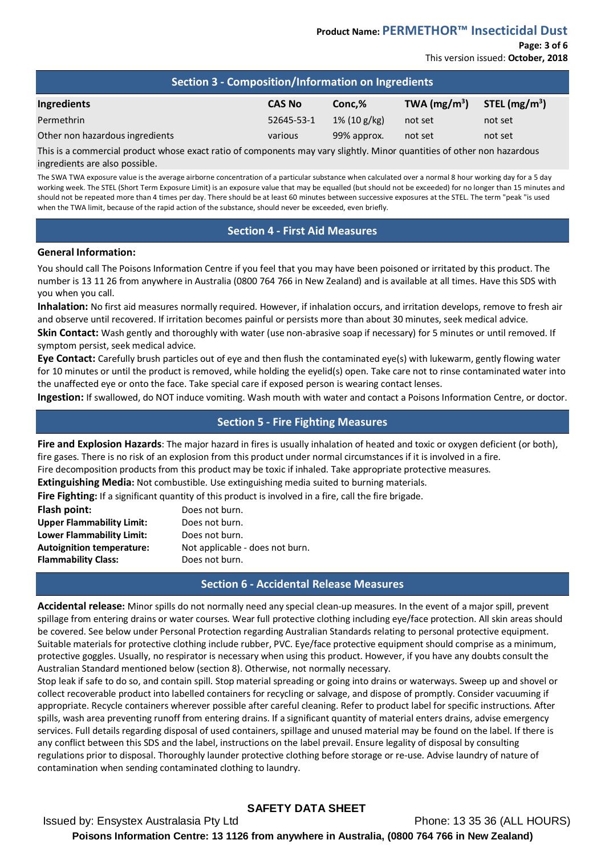#### **Page: 3 of 6** This version issued: **October, 2018**

| <b>Section 3 - Composition/Information on Ingredients</b> |               |                 |                |                 |
|-----------------------------------------------------------|---------------|-----------------|----------------|-----------------|
| Ingredients                                               | <b>CAS No</b> | Conc.%          | TWA $(mg/m^3)$ | STEL $(mg/m^3)$ |
| Permethrin                                                | 52645-53-1    | $1\%$ (10 g/kg) | not set        | not set         |
| Other non hazardous ingredients                           | various       | 99% approx.     | not set        | not set         |

This is a commercial product whose exact ratio of components may vary slightly. Minor quantities of other non hazardous ingredients are also possible.

The SWA TWA exposure value is the average airborne concentration of a particular substance when calculated over a normal 8 hour working day for a 5 day working week. The STEL (Short Term Exposure Limit) is an exposure value that may be equalled (but should not be exceeded) for no longer than 15 minutes and should not be repeated more than 4 times per day. There should be at least 60 minutes between successive exposures at the STEL. The term "peak "is used when the TWA limit, because of the rapid action of the substance, should never be exceeded, even briefly.

## **Section 4 - First Aid Measures**

#### **General Information:**

You should call The Poisons Information Centre if you feel that you may have been poisoned or irritated by this product. The number is 13 11 26 from anywhere in Australia (0800 764 766 in New Zealand) and is available at all times. Have this SDS with you when you call.

**Inhalation:** No first aid measures normally required. However, if inhalation occurs, and irritation develops, remove to fresh air and observe until recovered. If irritation becomes painful or persists more than about 30 minutes, seek medical advice.

**Skin Contact:** Wash gently and thoroughly with water (use non-abrasive soap if necessary) for 5 minutes or until removed. If symptom persist, seek medical advice.

**Eye Contact:** Carefully brush particles out of eye and then flush the contaminated eye(s) with lukewarm, gently flowing water for 10 minutes or until the product is removed, while holding the eyelid(s) open. Take care not to rinse contaminated water into the unaffected eye or onto the face. Take special care if exposed person is wearing contact lenses.

**Ingestion:** If swallowed, do NOT induce vomiting. Wash mouth with water and contact a Poisons Information Centre, or doctor.

## **Section 5 - Fire Fighting Measures**

**Fire and Explosion Hazards**: The major hazard in fires is usually inhalation of heated and toxic or oxygen deficient (or both), fire gases. There is no risk of an explosion from this product under normal circumstances if it is involved in a fire.

Fire decomposition products from this product may be toxic if inhaled. Take appropriate protective measures.

**Extinguishing Media:** Not combustible. Use extinguishing media suited to burning materials.

**Fire Fighting:** If a significant quantity of this product is involved in a fire, call the fire brigade.

| Flash point:                     | Does not burn.                  |
|----------------------------------|---------------------------------|
| <b>Upper Flammability Limit:</b> | Does not burn.                  |
| Lower Flammability Limit:        | Does not burn.                  |
| <b>Autoignition temperature:</b> | Not applicable - does not burn. |
| <b>Flammability Class:</b>       | Does not burn.                  |

## **Section 6 - Accidental Release Measures**

**Accidental release:** Minor spills do not normally need any special clean-up measures. In the event of a major spill, prevent spillage from entering drains or water courses. Wear full protective clothing including eye/face protection. All skin areas should be covered. See below under Personal Protection regarding Australian Standards relating to personal protective equipment. Suitable materials for protective clothing include rubber, PVC. Eye/face protective equipment should comprise as a minimum, protective goggles. Usually, no respirator is necessary when using this product. However, if you have any doubts consult the Australian Standard mentioned below (section 8). Otherwise, not normally necessary.

Stop leak if safe to do so, and contain spill. Stop material spreading or going into drains or waterways. Sweep up and shovel or collect recoverable product into labelled containers for recycling or salvage, and dispose of promptly. Consider vacuuming if appropriate. Recycle containers wherever possible after careful cleaning. Refer to product label for specific instructions. After spills, wash area preventing runoff from entering drains. If a significant quantity of material enters drains, advise emergency services. Full details regarding disposal of used containers, spillage and unused material may be found on the label. If there is any conflict between this SDS and the label, instructions on the label prevail. Ensure legality of disposal by consulting regulations prior to disposal. Thoroughly launder protective clothing before storage or re-use. Advise laundry of nature of contamination when sending contaminated clothing to laundry.

# **SAFETY DATA SHEET**

Issued by: Ensystex Australasia Pty Ltd Phone: 13 35 36 (ALL HOURS) **Poisons Information Centre: 13 1126 from anywhere in Australia, (0800 764 766 in New Zealand)**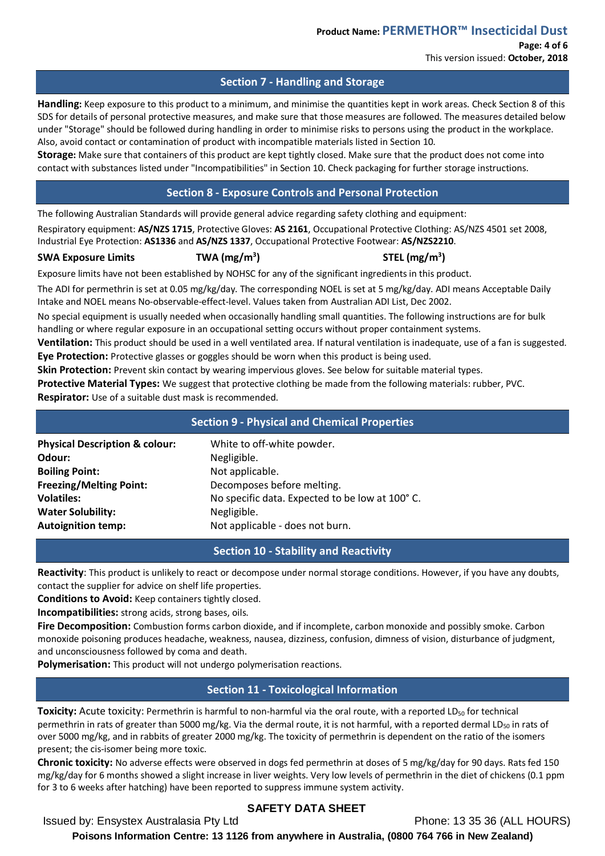# This version issued: **October, 2018**

## **Section 7 - Handling and Storage**

**Handling:** Keep exposure to this product to a minimum, and minimise the quantities kept in work areas. Check Section 8 of this SDS for details of personal protective measures, and make sure that those measures are followed. The measures detailed below under "Storage" should be followed during handling in order to minimise risks to persons using the product in the workplace. Also, avoid contact or contamination of product with incompatible materials listed in Section 10.

**Storage:** Make sure that containers of this product are kept tightly closed. Make sure that the product does not come into contact with substances listed under "Incompatibilities" in Section 10. Check packaging for further storage instructions.

## **Section 8 - Exposure Controls and Personal Protection**

**) STEL (mg/m3 )**

The following Australian Standards will provide general advice regarding safety clothing and equipment:

Respiratory equipment: **AS/NZS 1715**, Protective Gloves: **AS 2161**, Occupational Protective Clothing: AS/NZS 4501 set 2008, Industrial Eye Protection: **AS1336** and **AS/NZS 1337**, Occupational Protective Footwear: **AS/NZS2210**.

## **SWA Exposure Limits TWA (mg/m3**

Exposure limits have not been established by NOHSC for any of the significant ingredients in this product.

The ADI for permethrin is set at 0.05 mg/kg/day. The corresponding NOEL is set at 5 mg/kg/day. ADI means Acceptable Daily Intake and NOEL means No-observable-effect-level. Values taken from Australian ADI List, Dec 2002.

No special equipment is usually needed when occasionally handling small quantities. The following instructions are for bulk handling or where regular exposure in an occupational setting occurs without proper containment systems.

**Ventilation:** This product should be used in a well ventilated area. If natural ventilation is inadequate, use of a fan is suggested. **Eye Protection:** Protective glasses or goggles should be worn when this product is being used.

**Skin Protection:** Prevent skin contact by wearing impervious gloves. See below for suitable material types.

**Protective Material Types:** We suggest that protective clothing be made from the following materials: rubber, PVC. **Respirator:** Use of a suitable dust mask is recommended.

|                                           | <b>Section 9 - Physical and Chemical Properties</b> |  |
|-------------------------------------------|-----------------------------------------------------|--|
| <b>Physical Description &amp; colour:</b> | White to off-white powder.                          |  |
| Odour:                                    | Negligible.                                         |  |
| <b>Boiling Point:</b>                     | Not applicable.                                     |  |
| <b>Freezing/Melting Point:</b>            | Decomposes before melting.                          |  |
| <b>Volatiles:</b>                         | No specific data. Expected to be low at 100°C.      |  |
| <b>Water Solubility:</b>                  | Negligible.                                         |  |
| <b>Autoignition temp:</b>                 | Not applicable - does not burn.                     |  |

## **Section 10 - Stability and Reactivity**

**Reactivity**: This product is unlikely to react or decompose under normal storage conditions. However, if you have any doubts, contact the supplier for advice on shelf life properties.

**Conditions to Avoid:** Keep containers tightly closed.

**Incompatibilities:** strong acids, strong bases, oils.

**Fire Decomposition:** Combustion forms carbon dioxide, and if incomplete, carbon monoxide and possibly smoke. Carbon monoxide poisoning produces headache, weakness, nausea, dizziness, confusion, dimness of vision, disturbance of judgment, and unconsciousness followed by coma and death.

**Polymerisation:** This product will not undergo polymerisation reactions.

# **Section 11 - Toxicological Information**

**Toxicity:** Acute toxicity: Permethrin is harmful to non-harmful via the oral route, with a reported LD<sub>50</sub> for technical permethrin in rats of greater than 5000 mg/kg. Via the dermal route, it is not harmful, with a reported dermal LD<sub>50</sub> in rats of over 5000 mg/kg, and in rabbits of greater 2000 mg/kg. The toxicity of permethrin is dependent on the ratio of the isomers present; the cis-isomer being more toxic.

**Chronic toxicity:** No adverse effects were observed in dogs fed permethrin at doses of 5 mg/kg/day for 90 days. Rats fed 150 mg/kg/day for 6 months showed a slight increase in liver weights. Very low levels of permethrin in the diet of chickens (0.1 ppm for 3 to 6 weeks after hatching) have been reported to suppress immune system activity.

# **SAFETY DATA SHEET**

Issued by: Ensystex Australasia Pty Ltd Phone: 13 35 36 (ALL HOURS)

**Poisons Information Centre: 13 1126 from anywhere in Australia, (0800 764 766 in New Zealand)**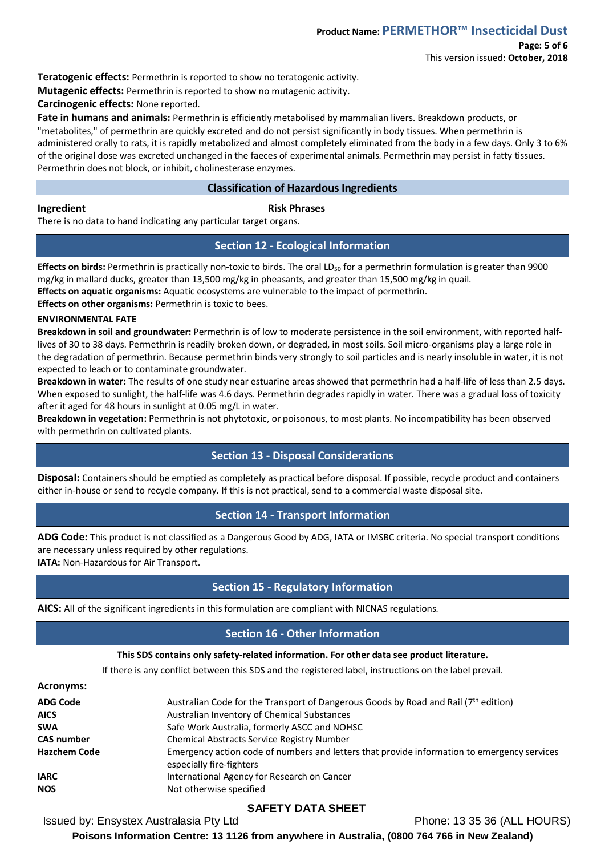**Teratogenic effects:** Permethrin is reported to show no teratogenic activity.

**Mutagenic effects:** Permethrin is reported to show no mutagenic activity.

**Carcinogenic effects:** None reported.

**Fate in humans and animals:** Permethrin is efficiently metabolised by mammalian livers. Breakdown products, or "metabolites," of permethrin are quickly excreted and do not persist significantly in body tissues. When permethrin is administered orally to rats, it is rapidly metabolized and almost completely eliminated from the body in a few days. Only 3 to 6% of the original dose was excreted unchanged in the faeces of experimental animals. Permethrin may persist in fatty tissues. Permethrin does not block, or inhibit, cholinesterase enzymes.

## **Classification of Hazardous Ingredients**

## **Ingredient Risk Phrases**

There is no data to hand indicating any particular target organs.

## **Section 12 - Ecological Information**

**Effects on birds:** Permethrin is practically non-toxic to birds. The oral LD<sub>50</sub> for a permethrin formulation is greater than 9900 mg/kg in mallard ducks, greater than 13,500 mg/kg in pheasants, and greater than 15,500 mg/kg in quail. **Effects on aquatic organisms:** Aquatic ecosystems are vulnerable to the impact of permethrin.

**Effects on other organisms:** Permethrin is toxic to bees.

## **ENVIRONMENTAL FATE**

**Breakdown in soil and groundwater:** Permethrin is of low to moderate persistence in the soil environment, with reported halflives of 30 to 38 days. Permethrin is readily broken down, or degraded, in most soils. Soil micro-organisms play a large role in the degradation of permethrin. Because permethrin binds very strongly to soil particles and is nearly insoluble in water, it is not expected to leach or to contaminate groundwater.

**Breakdown in water:** The results of one study near estuarine areas showed that permethrin had a half-life of less than 2.5 days. When exposed to sunlight, the half-life was 4.6 days. Permethrin degrades rapidly in water. There was a gradual loss of toxicity after it aged for 48 hours in sunlight at 0.05 mg/L in water.

**Breakdown in vegetation:** Permethrin is not phytotoxic, or poisonous, to most plants. No incompatibility has been observed with permethrin on cultivated plants.

## **Section 13 - Disposal Considerations**

**Disposal:** Containers should be emptied as completely as practical before disposal. If possible, recycle product and containers either in-house or send to recycle company. If this is not practical, send to a commercial waste disposal site.

## **Section 14 - Transport Information**

**ADG Code:** This product is not classified as a Dangerous Good by ADG, IATA or IMSBC criteria. No special transport conditions are necessary unless required by other regulations.

**IATA: Non-Hazardous for Air Transport.** 

## **Section 15 - Regulatory Information**

**AICS:** All of the significant ingredients in this formulation are compliant with NICNAS regulations.

# **Section 16 - Other Information**

#### **This SDS contains only safety-related information. For other data see product literature.**

If there is any conflict between this SDS and the registered label, instructions on the label prevail.

#### **Acronyms:**

| <b>ADG Code</b>     | Australian Code for the Transport of Dangerous Goods by Road and Rail $(7^{th}$ edition)                                |
|---------------------|-------------------------------------------------------------------------------------------------------------------------|
| <b>AICS</b>         | Australian Inventory of Chemical Substances                                                                             |
| <b>SWA</b>          | Safe Work Australia, formerly ASCC and NOHSC                                                                            |
| <b>CAS number</b>   | <b>Chemical Abstracts Service Registry Number</b>                                                                       |
| <b>Hazchem Code</b> | Emergency action code of numbers and letters that provide information to emergency services<br>especially fire-fighters |
| <b>IARC</b>         | International Agency for Research on Cancer                                                                             |
| <b>NOS</b>          | Not otherwise specified                                                                                                 |
|                     |                                                                                                                         |

# **SAFETY DATA SHEET**

Issued by: Ensystex Australasia Pty Ltd Phone: 13 35 36 (ALL HOURS)

**Poisons Information Centre: 13 1126 from anywhere in Australia, (0800 764 766 in New Zealand)**